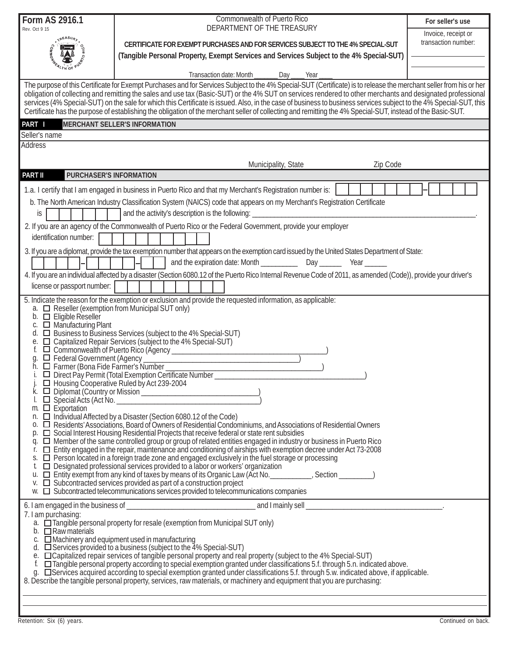| Form AS 2916.1                                                                                                                                                                                                                                                                                                                                                                                                                                                                                  | Commonwealth of Puerto Rico                                                                                                                                                                                                                   | For seller's use    |  |  |  |  |  |  |
|-------------------------------------------------------------------------------------------------------------------------------------------------------------------------------------------------------------------------------------------------------------------------------------------------------------------------------------------------------------------------------------------------------------------------------------------------------------------------------------------------|-----------------------------------------------------------------------------------------------------------------------------------------------------------------------------------------------------------------------------------------------|---------------------|--|--|--|--|--|--|
| Rev. Oct 9 15                                                                                                                                                                                                                                                                                                                                                                                                                                                                                   | DEPARTMENT OF THE TREASURY                                                                                                                                                                                                                    | Invoice, receipt or |  |  |  |  |  |  |
|                                                                                                                                                                                                                                                                                                                                                                                                                                                                                                 | CERTIFICATE FOR EXEMPT PURCHASES AND FOR SERVICES SUBJECT TO THE 4% SPECIAL-SUT                                                                                                                                                               | transaction number: |  |  |  |  |  |  |
|                                                                                                                                                                                                                                                                                                                                                                                                                                                                                                 | (Tangible Personal Property, Exempt Services and Services Subject to the 4% Special-SUT)                                                                                                                                                      |                     |  |  |  |  |  |  |
|                                                                                                                                                                                                                                                                                                                                                                                                                                                                                                 | Transaction date: Month<br>Day<br>Year                                                                                                                                                                                                        |                     |  |  |  |  |  |  |
| The purpose of this Certificate for Exempt Purchases and for Services Subject to the 4% Special-SUT (Certificate) is to release the merchant seller from his or her                                                                                                                                                                                                                                                                                                                             |                                                                                                                                                                                                                                               |                     |  |  |  |  |  |  |
| obligation of collecting and remitting the sales and use tax (Basic-SUT) or the 4% SUT on services rendered to other merchants and designated professional<br>services (4% Special-SUT) on the sale for which this Certificate is issued. Also, in the case of business to business services subject to the 4% Special-SUT, this<br>Certificate has the purpose of establishing the obligation of the merchant seller of collecting and remitting the 4% Special-SUT, instead of the Basic-SUT. |                                                                                                                                                                                                                                               |                     |  |  |  |  |  |  |
| PART I<br><b>MERCHANT SELLER'S INFORMATION</b>                                                                                                                                                                                                                                                                                                                                                                                                                                                  |                                                                                                                                                                                                                                               |                     |  |  |  |  |  |  |
| Seller's name                                                                                                                                                                                                                                                                                                                                                                                                                                                                                   |                                                                                                                                                                                                                                               |                     |  |  |  |  |  |  |
| <b>Address</b>                                                                                                                                                                                                                                                                                                                                                                                                                                                                                  |                                                                                                                                                                                                                                               |                     |  |  |  |  |  |  |
|                                                                                                                                                                                                                                                                                                                                                                                                                                                                                                 | Zip Code<br>Municipality, State                                                                                                                                                                                                               |                     |  |  |  |  |  |  |
| <b>PART II</b><br>PURCHASER'S INFORMATION                                                                                                                                                                                                                                                                                                                                                                                                                                                       |                                                                                                                                                                                                                                               |                     |  |  |  |  |  |  |
|                                                                                                                                                                                                                                                                                                                                                                                                                                                                                                 | 1.a. I certify that I am engaged in business in Puerto Rico and that my Merchant's Registration number is:                                                                                                                                    |                     |  |  |  |  |  |  |
| b. The North American Industry Classification System (NAICS) code that appears on my Merchant's Registration Certificate                                                                                                                                                                                                                                                                                                                                                                        |                                                                                                                                                                                                                                               |                     |  |  |  |  |  |  |
| is                                                                                                                                                                                                                                                                                                                                                                                                                                                                                              | and the activity's description is the following:                                                                                                                                                                                              |                     |  |  |  |  |  |  |
| identification number:                                                                                                                                                                                                                                                                                                                                                                                                                                                                          | 2. If you are an agency of the Commonwealth of Puerto Rico or the Federal Government, provide your employer                                                                                                                                   |                     |  |  |  |  |  |  |
|                                                                                                                                                                                                                                                                                                                                                                                                                                                                                                 |                                                                                                                                                                                                                                               |                     |  |  |  |  |  |  |
|                                                                                                                                                                                                                                                                                                                                                                                                                                                                                                 | 3. If you are a diplomat, provide the tax exemption number that appears on the exemption card issued by the United States Department of State:                                                                                                |                     |  |  |  |  |  |  |
|                                                                                                                                                                                                                                                                                                                                                                                                                                                                                                 | 4. If you are an individual affected by a disaster (Section 6080.12 of the Puerto Rico Internal Revenue Code of 2011, as amended (Code)), provide your driver's                                                                               |                     |  |  |  |  |  |  |
| license or passport number:                                                                                                                                                                                                                                                                                                                                                                                                                                                                     |                                                                                                                                                                                                                                               |                     |  |  |  |  |  |  |
| 5. Indicate the reason for the exemption or exclusion and provide the requested information, as applicable:                                                                                                                                                                                                                                                                                                                                                                                     |                                                                                                                                                                                                                                               |                     |  |  |  |  |  |  |
| a. <b>I</b> Reseller (exemption from Municipal SUT only)<br>$\Box$ Eligible Reseller                                                                                                                                                                                                                                                                                                                                                                                                            |                                                                                                                                                                                                                                               |                     |  |  |  |  |  |  |
| Manufacturing Plant                                                                                                                                                                                                                                                                                                                                                                                                                                                                             |                                                                                                                                                                                                                                               |                     |  |  |  |  |  |  |
| □ Business to Business Services (subject to the 4% Special-SUT)<br>d.<br>□ Capitalized Repair Services (subject to the 4% Special-SUT)<br>е.                                                                                                                                                                                                                                                                                                                                                    |                                                                                                                                                                                                                                               |                     |  |  |  |  |  |  |
| O Commonwealth of Puerto Rico (Agency Commonwealth of Puerto Rico (Agency<br>f.<br>Federal Government (Agency                                                                                                                                                                                                                                                                                                                                                                                   |                                                                                                                                                                                                                                               |                     |  |  |  |  |  |  |
| g.<br>$\Box$ Farmer (Bona Fide Farmer's Number                                                                                                                                                                                                                                                                                                                                                                                                                                                  |                                                                                                                                                                                                                                               |                     |  |  |  |  |  |  |
|                                                                                                                                                                                                                                                                                                                                                                                                                                                                                                 | Direct Pay Permit (Total Exemption Certificate Number                                                                                                                                                                                         |                     |  |  |  |  |  |  |
| $\Box$ Housing Cooperative Ruled by Act 239-2004<br>Diplomat (Country or Mission <u>Communication</u> Country of Mission 2014)                                                                                                                                                                                                                                                                                                                                                                  |                                                                                                                                                                                                                                               |                     |  |  |  |  |  |  |
| $m.$ $\Box$ Exportation                                                                                                                                                                                                                                                                                                                                                                                                                                                                         |                                                                                                                                                                                                                                               |                     |  |  |  |  |  |  |
| n.                                                                                                                                                                                                                                                                                                                                                                                                                                                                                              | Individual Affected by a Disaster (Section 6080.12 of the Code)<br>0. □ Residents' Associations, Board of Owners of Residential Condominiums, and Associations of Residential Owners                                                          |                     |  |  |  |  |  |  |
|                                                                                                                                                                                                                                                                                                                                                                                                                                                                                                 | □ Social Interest Housing Residential Projects that receive federal or state rent subsidies                                                                                                                                                   |                     |  |  |  |  |  |  |
| r.                                                                                                                                                                                                                                                                                                                                                                                                                                                                                              | q. $\Box$ Member of the same controlled group or group of related entities engaged in industry or business in Puerto Rico<br>□ Entity engaged in the repair, maintenance and conditioning of airships with exemption decree under Act 73-2008 |                     |  |  |  |  |  |  |
|                                                                                                                                                                                                                                                                                                                                                                                                                                                                                                 | s. □ Person located in a foreign trade zone and engaged exclusively in the fuel storage or processing                                                                                                                                         |                     |  |  |  |  |  |  |
|                                                                                                                                                                                                                                                                                                                                                                                                                                                                                                 | $\Box$ Designated professional services provided to a labor or workers' organization<br>u. □ Entityّ exempt from any kind of taxes by means of its Organic Law (Act No. _________, Section ________)                                          |                     |  |  |  |  |  |  |
|                                                                                                                                                                                                                                                                                                                                                                                                                                                                                                 | $\mathsf{v}$ . $\Box$ Subcontracted services provided as part of a construction project<br>$w.$ $\Box$ Subcontracted telecommunications services provided to telecommunications companies                                                     |                     |  |  |  |  |  |  |
|                                                                                                                                                                                                                                                                                                                                                                                                                                                                                                 |                                                                                                                                                                                                                                               |                     |  |  |  |  |  |  |
| 7. I am purchasing:                                                                                                                                                                                                                                                                                                                                                                                                                                                                             |                                                                                                                                                                                                                                               |                     |  |  |  |  |  |  |
| a. $\Box$ Tangible personal property for resale (exemption from Municipal SUT only)<br>b. $\Box$ Raw materials                                                                                                                                                                                                                                                                                                                                                                                  |                                                                                                                                                                                                                                               |                     |  |  |  |  |  |  |
| c. $\Box$ Machinery and equipment used in manufacturing                                                                                                                                                                                                                                                                                                                                                                                                                                         |                                                                                                                                                                                                                                               |                     |  |  |  |  |  |  |
| d. $\Box$ Services provided to a business (subject to the 4% Special-SUT)<br>e. Capitalized repair services of tangible personal property and real property (subject to the 4% Special-SUT)                                                                                                                                                                                                                                                                                                     |                                                                                                                                                                                                                                               |                     |  |  |  |  |  |  |
| □ Tangible personal property according to special exemption granted under classifications 5.f. through 5.n. indicated above.<br>g.  Services acquired according to special exemption granted under classifications 5.f. through 5.w. indicated above, if applicable.                                                                                                                                                                                                                            |                                                                                                                                                                                                                                               |                     |  |  |  |  |  |  |
| 8. Describe the tangible personal property, services, raw materials, or machinery and equipment that you are purchasing:                                                                                                                                                                                                                                                                                                                                                                        |                                                                                                                                                                                                                                               |                     |  |  |  |  |  |  |
|                                                                                                                                                                                                                                                                                                                                                                                                                                                                                                 |                                                                                                                                                                                                                                               |                     |  |  |  |  |  |  |
|                                                                                                                                                                                                                                                                                                                                                                                                                                                                                                 |                                                                                                                                                                                                                                               |                     |  |  |  |  |  |  |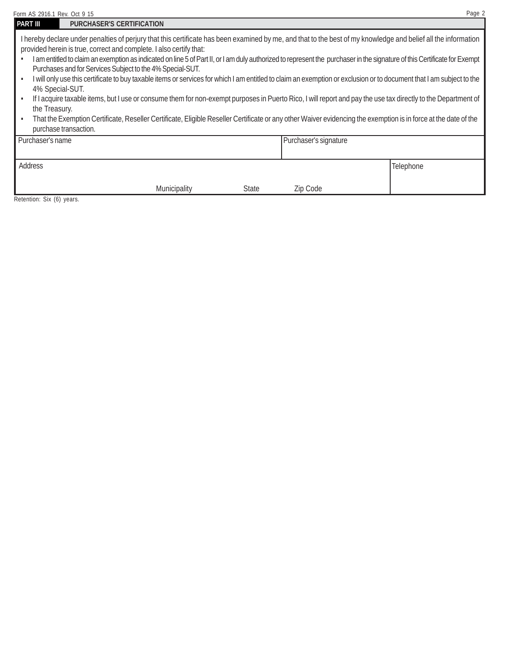| Page 2<br>Form AS 2916.1 Rev. Oct 9 15 |                                                                                                                                                                                                                                                                                                                                                                                                                                                                                                                                                                                                                                                                                                                                                                                                                                                                                                                                                                                                                                 |              |              |                       |           |  |  |  |
|----------------------------------------|---------------------------------------------------------------------------------------------------------------------------------------------------------------------------------------------------------------------------------------------------------------------------------------------------------------------------------------------------------------------------------------------------------------------------------------------------------------------------------------------------------------------------------------------------------------------------------------------------------------------------------------------------------------------------------------------------------------------------------------------------------------------------------------------------------------------------------------------------------------------------------------------------------------------------------------------------------------------------------------------------------------------------------|--------------|--------------|-----------------------|-----------|--|--|--|
| <b>PART III</b>                        | <b>PURCHASER'S CERTIFICATION</b>                                                                                                                                                                                                                                                                                                                                                                                                                                                                                                                                                                                                                                                                                                                                                                                                                                                                                                                                                                                                |              |              |                       |           |  |  |  |
| purchase transaction.                  | I hereby declare under penalties of perjury that this certificate has been examined by me, and that to the best of my knowledge and belief all the information<br>provided herein is true, correct and complete. I also certify that:<br>I am entitled to claim an exemption as indicated on line 5 of Part II, or I am duly authorized to represent the purchaser in the signature of this Certificate for Exempt<br>Purchases and for Services Subject to the 4% Special-SUT.<br>I will only use this certificate to buy taxable items or services for which I am entitled to claim an exemption or exclusion or to document that I am subject to the<br>4% Special-SUT.<br>If I acquire taxable items, but I use or consume them for non-exempt purposes in Puerto Rico, I will report and pay the use tax directly to the Department of<br>the Treasury.<br>That the Exemption Certificate, Reseller Certificate, Eligible Reseller Certificate or any other Waiver evidencing the exemption is in force at the date of the |              |              |                       |           |  |  |  |
| Purchaser's name                       |                                                                                                                                                                                                                                                                                                                                                                                                                                                                                                                                                                                                                                                                                                                                                                                                                                                                                                                                                                                                                                 |              |              | Purchaser's signature |           |  |  |  |
| Address                                |                                                                                                                                                                                                                                                                                                                                                                                                                                                                                                                                                                                                                                                                                                                                                                                                                                                                                                                                                                                                                                 |              |              |                       | Telephone |  |  |  |
|                                        |                                                                                                                                                                                                                                                                                                                                                                                                                                                                                                                                                                                                                                                                                                                                                                                                                                                                                                                                                                                                                                 | Municipality | <b>State</b> | Zip Code              |           |  |  |  |

Retention: Six (6) years.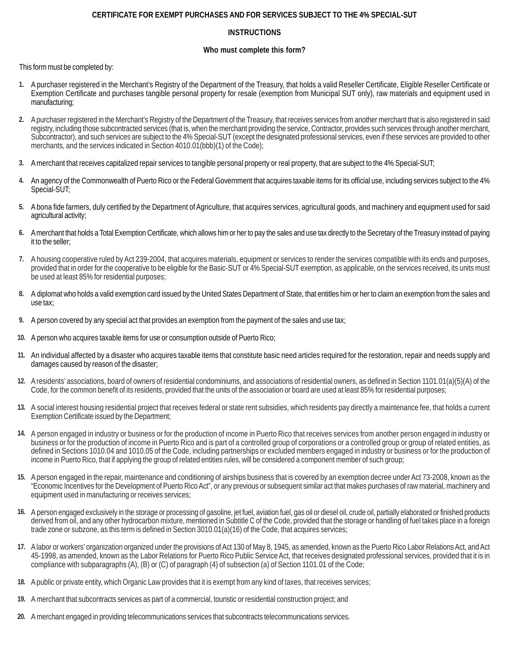## **CERTIFICATE FOR EXEMPT PURCHASES AND FOR SERVICES SUBJECT TO THE 4% SPECIAL-SUT**

# **INSTRUCTIONS**

### **Who must complete this form?**

This form must be completed by:

- **1.** A purchaser registered in the Merchant's Registry of the Department of the Treasury, that holds a valid Reseller Certificate, Eligible Reseller Certificate or Exemption Certificate and purchases tangible personal property for resale (exemption from Municipal SUT only), raw materials and equipment used in manufacturing;
- **2.** A purchaser registered in the Merchant's Registry of the Department of the Treasury, that receives services from another merchant that is also registered in said registry, including those subcontracted services (that is, when the merchant providing the service, Contractor, provides such services through another merchant, Subcontractor), and such services are subject to the 4% Special-SUT (except the designated professional services, even if these services are provided to other merchants, and the services indicated in Section 4010.01(bbb)(1) of the Code);
- **3.** A merchant that receives capitalized repair services to tangible personal property or real property, that are subject to the 4% Special-SUT;
- **4.** An agency of the Commonwealth of Puerto Rico or the Federal Government that acquires taxable items for its official use, including services subject to the 4% Special-SUT;
- **5.** A bona fide farmers, duly certified by the Department of Agriculture, that acquires services, agricultural goods, and machinery and equipment used for said agricultural activity;
- **6.** A merchant that holds a Total Exemption Certificate, which allows him or her to pay the sales and use tax directly to the Secretary of the Treasury instead of paying it to the seller;
- **7.** A housing cooperative ruled by Act 239-2004, that acquires materials, equipment or services to render the services compatible with its ends and purposes, provided that in order for the cooperative to be eligible for the Basic-SUT or 4% Special-SUT exemption, as applicable, on the services received, its units must be used at least 85% for residential purposes;
- **8.** A diplomat who holds a valid exemption card issued by the United States Department of State, that entitles him or her to claim an exemption from the sales and use tax;
- **9.** A person covered by any special act that provides an exemption from the payment of the sales and use tax;
- **10.** A person who acquires taxable items for use or consumption outside of Puerto Rico;
- **11.** An individual affected by a disaster who acquires taxable items that constitute basic need articles required for the restoration, repair and needs supply and damages caused by reason of the disaster;
- **12.** A residents' associations, board of owners of residential condominiums, and associations of residential owners, as defined in Section 1101.01(a)(5)(A) of the Code, for the common benefit of its residents, provided that the units of the association or board are used at least 85% for residential purposes;
- **13.** A social interest housing residential project that receives federal or state rent subsidies, which residents pay directly a maintenance fee, that holds a current Exemption Certificate issued by the Department;
- **14.** A person engaged in industry or business or for the production of income in Puerto Rico that receives services from another person engaged in industry or business or for the production of income in Puerto Rico and is part of a controlled group of corporations or a controlled group or group of related entities, as defined in Sections 1010.04 and 1010.05 of the Code, including partnerships or excluded members engaged in industry or business or for the production of income in Puerto Rico, that if applying the group of related entities rules, will be considered a component member of such group;
- **15.** A person engaged in the repair, maintenance and conditioning of airships business that is covered by an exemption decree under Act 73-2008, known as the "Economic Incentives for the Development of Puerto Rico Act", or any previous or subsequent similar act that makes purchases of raw material, machinery and equipment used in manufacturing or receives services;
- **16.** A person engaged exclusively in the storage or processing of gasoline, jet fuel, aviation fuel, gas oil or diesel oil, crude oil, partially elaborated or finished products derived from oil, and any other hydrocarbon mixture, mentioned in Subtitle C of the Code, provided that the storage or handling of fuel takes place in a foreign trade zone or subzone, as this term is defined in Section 3010.01(a)(16) of the Code, that acquires services;
- **17.** A labor or workers' organization organized under the provisions of Act 130 of May 8, 1945, as amended, known as the Puerto Rico Labor Relations Act, and Act 45-1998, as amended, known as the Labor Relations for Puerto Rico Public Service Act, that receives designated professional services, provided that it is in compliance with subparagraphs (A), (B) or (C) of paragraph (4) of subsection (a) of Section 1101.01 of the Code;
- **18.** A public or private entity, which Organic Law provides that it is exempt from any kind of taxes, that receives services;
- **19.** A merchant that subcontracts services as part of a commercial, touristic or residential construction project; and
- **20.** A merchant engaged in providing telecommunications services that subcontracts telecommunications services.